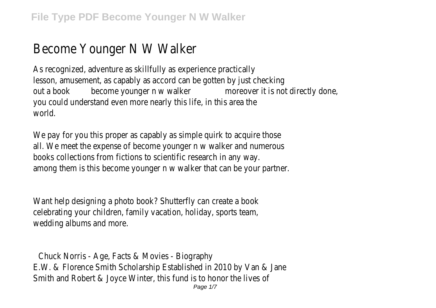## Become Younger N W Walker

As recognized, adventure as skillfully as experience practically lesson, amusement, as capably as accord can be gotten by just checking out a book become younger n w walker moreover it is not directly done, you could understand even more nearly this life, in this area the world.

We pay for you this proper as capably as simple quirk to acquire those all. We meet the expense of become younger n w walker and numerous books collections from fictions to scientific research in any way. among them is this become younger n w walker that can be your partner.

Want help designing a photo book? Shutterfly can create a book celebrating your children, family vacation, holiday, sports team, wedding albums and more.

Chuck Norris - Age, Facts & Movies - Biography E.W. & Florence Smith Scholarship Established in 2010 by Van & Jane Smith and Robert & Joyce Winter, this fund is to honor the lives of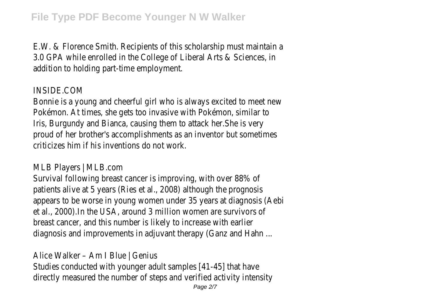E.W. & Florence Smith. Recipients of this scholarship must maintain a 3.0 GPA while enrolled in the College of Liberal Arts & Sciences, in addition to holding part-time employment.

## INSIDE.COM

Bonnie is a young and cheerful girl who is always excited to meet new Pokémon. At times, she gets too invasive with Pokémon, similar to Iris, Burgundy and Bianca, causing them to attack her.She is very proud of her brother's accomplishments as an inventor but sometimes criticizes him if his inventions do not work.

MLB Players | MLB.com

Survival following breast cancer is improving, with over 88% of patients alive at 5 years (Ries et al., 2008) although the prognosis appears to be worse in young women under 35 years at diagnosis (Aebi et al., 2000).In the USA, around 3 million women are survivors of breast cancer, and this number is likely to increase with earlier diagnosis and improvements in adjuvant therapy (Ganz and Hahn ...

Alice Walker – Am I Blue | Genius

Studies conducted with younger adult samples [41-45] that have directly measured the number of steps and verified activity intensity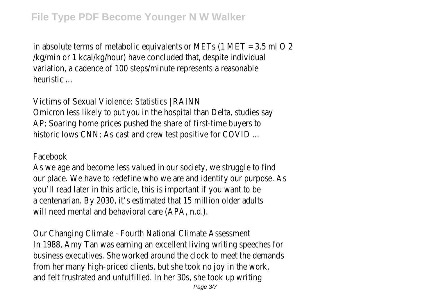in absolute terms of metabolic equivalents or METs  $(1 \text{ MET} = 3.5 \text{ ml} 0.2)$ /kg/min or 1 kcal/kg/hour) have concluded that, despite individual variation, a cadence of 100 steps/minute represents a reasonable heuristic ...

Victims of Sexual Violence: Statistics | RAINN Omicron less likely to put you in the hospital than Delta, studies say AP; Soaring home prices pushed the share of first-time buyers to historic lows CNN; As cast and crew test positive for COVID ...

## Facebook

As we age and become less valued in our society, we struggle to find our place. We have to redefine who we are and identify our purpose. As you'll read later in this article, this is important if you want to be a centenarian. By 2030, it's estimated that 15 million older adults will need mental and behavioral care (APA, n.d.).

Our Changing Climate - Fourth National Climate Assessment In 1988, Amy Tan was earning an excellent living writing speeches for business executives. She worked around the clock to meet the demands from her many high-priced clients, but she took no joy in the work, and felt frustrated and unfulfilled. In her 30s, she took up writing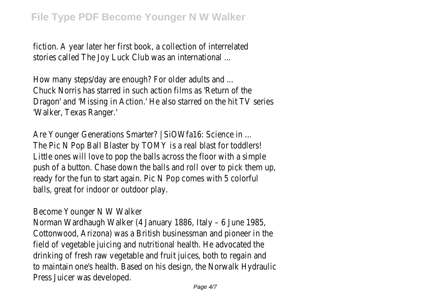fiction. A year later her first book, a collection of interrelated stories called The Joy Luck Club was an international ...

How many steps/day are enough? For older adults and ... Chuck Norris has starred in such action films as 'Return of the Dragon' and 'Missing in Action.' He also starred on the hit TV series 'Walker, Texas Ranger.'

Are Younger Generations Smarter? | SiOWfa16: Science in ... The Pic N Pop Ball Blaster by TOMY is a real blast for toddlers! Little ones will love to pop the balls across the floor with a simple push of a button. Chase down the balls and roll over to pick them up, ready for the fun to start again. Pic N Pop comes with 5 colorful balls, great for indoor or outdoor play.

Become Younger N W Walker

Norman Wardhaugh Walker (4 January 1886, Italy – 6 June 1985, Cottonwood, Arizona) was a British businessman and pioneer in the field of vegetable juicing and nutritional health. He advocated the drinking of fresh raw vegetable and fruit juices, both to regain and to maintain one's health. Based on his design, the Norwalk Hydraulic Press Juicer was developed.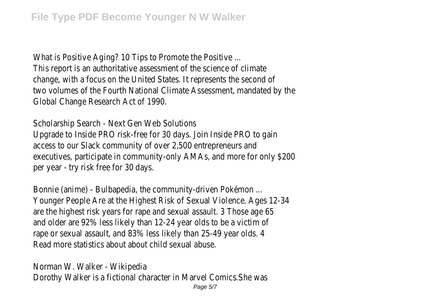What is Positive Aging? 10 Tips to Promote the Positive ... This report is an authoritative assessment of the science of climate change, with a focus on the United States. It represents the second of two volumes of the Fourth National Climate Assessment, mandated by the Global Change Research Act of 1990.

Scholarship Search - Next Gen Web Solutions Upgrade to Inside PRO risk-free for 30 days. Join Inside PRO to gain access to our Slack community of over 2,500 entrepreneurs and executives, participate in community-only AMAs, and more for only \$200 per year - try risk free for 30 days.

Bonnie (anime) - Bulbapedia, the community-driven Pokémon ... Younger People Are at the Highest Risk of Sexual Violence. Ages 12-34 are the highest risk years for rape and sexual assault. 3 Those age 65 and older are 92% less likely than 12-24 year olds to be a victim of rape or sexual assault, and 83% less likely than 25-49 year olds. 4 Read more statistics about about child sexual abuse.

Norman W. Walker - Wikipedia Dorothy Walker is a fictional character in Marvel Comics.She was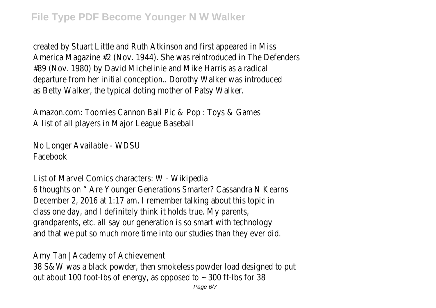created by Stuart Little and Ruth Atkinson and first appeared in Miss America Magazine #2 (Nov. 1944). She was reintroduced in The Defenders #89 (Nov. 1980) by David Michelinie and Mike Harris as a radical departure from her initial conception.. Dorothy Walker was introduced as Betty Walker, the typical doting mother of Patsy Walker.

Amazon.com: Toomies Cannon Ball Pic & Pop : Toys & Games A list of all players in Major League Baseball

No Longer Available - WDSU Facebook

List of Marvel Comics characters: W - Wikipedia 6 thoughts on " Are Younger Generations Smarter? Cassandra N Kearns December 2, 2016 at 1:17 am. I remember talking about this topic in class one day, and I definitely think it holds true. My parents, grandparents, etc. all say our generation is so smart with technology and that we put so much more time into our studies than they ever did.

Amy Tan | Academy of Achievement 38 S&W was a black powder, then smokeless powder load designed to put out about 100 foot-lbs of energy, as opposed to  $\sim$  300 ft-lbs for 38